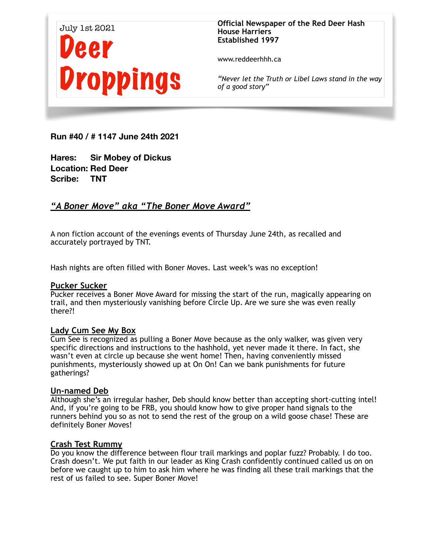

www.reddeerhhh.ca

*"Never let the Truth or Libel Laws stand in the way of a good story"*

**Run #40 / # 1147 June 24th 2021** 

**Hares: Sir Mobey of Dickus Location: Red Deer Scribe: TNT** 

# *"A Boner Move" aka "The Boner Move Award"*

A non fiction account of the evenings events of Thursday June 24th, as recalled and accurately portrayed by TNT.

Hash nights are often filled with Boner Moves. Last week's was no exception!

## **Pucker Sucker**

Pucker receives a Boner Move Award for missing the start of the run, magically appearing on trail, and then mysteriously vanishing before Circle Up. Are we sure she was even really there?!

### **Lady Cum See My Box**

Cum See is recognized as pulling a Boner Move because as the only walker, was given very specific directions and instructions to the hashhold, yet never made it there. In fact, she wasn't even at circle up because she went home! Then, having conveniently missed punishments, mysteriously showed up at On On! Can we bank punishments for future gatherings?

## **Un-named Deb**

Although she's an irregular hasher, Deb should know better than accepting short-cutting intel! And, if you're going to be FRB, you should know how to give proper hand signals to the runners behind you so as not to send the rest of the group on a wild goose chase! These are definitely Boner Moves!

### **Crash Test Rummy**

Do you know the difference between flour trail markings and poplar fuzz? Probably. I do too. Crash doesn't. We put faith in our leader as King Crash confidently continued called us on on before we caught up to him to ask him where he was finding all these trail markings that the rest of us failed to see. Super Boner Move!